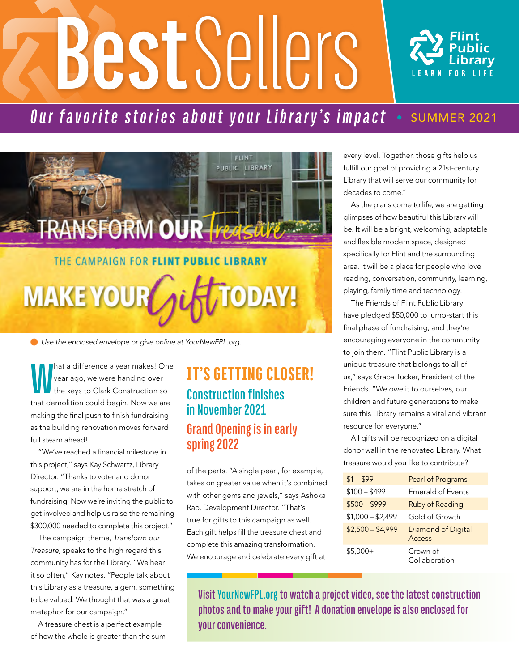# **Best** Sellers



# *Our favorite stories about your Library's impact* • SUMMER 2021



 *Use the enclosed envelope or give online at YourNewFPL.org.*

**W** hat a difference a year makes! One year ago, we were handing over the keys to Clark Construction so that demolition could begin. Now we are making the final push to finish fundraising as the building renovation moves forward full steam ahead!

"We've reached a financial milestone in this project," says Kay Schwartz, Library Director. "Thanks to voter and donor support, we are in the home stretch of fundraising. Now we're inviting the public to get involved and help us raise the remaining \$300,000 needed to complete this project."

The campaign theme, Transform our Treasure, speaks to the high regard this community has for the Library. "We hear it so often," Kay notes. "People talk about this Library as a treasure, a gem, something to be valued. We thought that was a great metaphor for our campaign."

A treasure chest is a perfect example of how the whole is greater than the sum

## IT'S GETTING CLOSER! **Construction finishes in November 2O21 Grand Opening is in early spring 2O22**

of the parts. "A single pearl, for example, takes on greater value when it's combined with other gems and jewels," says Ashoka Rao, Development Director. "That's true for gifts to this campaign as well. Each gift helps fill the treasure chest and complete this amazing transformation. We encourage and celebrate every gift at

every level. Together, those gifts help us fulfill our goal of providing a 21st-century Library that will serve our community for decades to come."

As the plans come to life, we are getting glimpses of how beautiful this Library will be. It will be a bright, welcoming, adaptable and flexible modern space, designed specifically for Flint and the surrounding area. It will be a place for people who love reading, conversation, community, learning, playing, family time and technology.

The Friends of Flint Public Library have pledged \$50,000 to jump-start this final phase of fundraising, and they're encouraging everyone in the community to join them. "Flint Public Library is a unique treasure that belongs to all of us," says Grace Tucker, President of the Friends. "We owe it to ourselves, our children and future generations to make sure this Library remains a vital and vibrant resource for everyone."

All gifts will be recognized on a digital donor wall in the renovated Library. What treasure would you like to contribute?

| $$1 - $99$        | Pearl of Programs            |
|-------------------|------------------------------|
| $$100 - $499$     | <b>Emerald of Events</b>     |
| $$500 - $999$     | Ruby of Reading              |
| $$1,000 - $2,499$ | Gold of Growth               |
| $$2,500 - $4,999$ | Diamond of Digital<br>Access |
| $$5,000+$         | Crown of<br>Collaboration    |

**Visit YourNewFPL.org to watch a project video, see the latest construction photos and to make your gift! A donation envelope is also enclosed for your convenience.**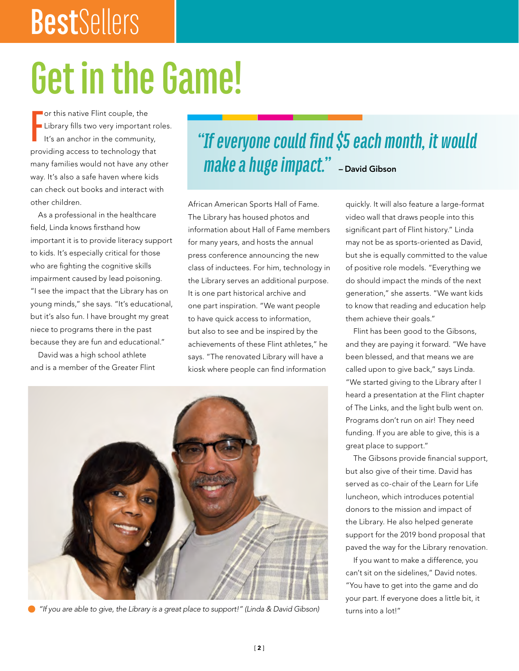# **Best**Sellers

# **Get in the Game!**

**F** or this native Flint couple, the Library fills two very important roles. It's an anchor in the community, providing access to technology that many families would not have any other way. It's also a safe haven where kids can check out books and interact with other children.

As a professional in the healthcare field, Linda knows firsthand how important it is to provide literacy support to kids. It's especially critical for those who are fighting the cognitive skills impairment caused by lead poisoning. "I see the impact that the Library has on young minds," she says. "It's educational, but it's also fun. I have brought my great niece to programs there in the past because they are fun and educational."

David was a high school athlete and is a member of the Greater Flint

# *"If everyone could find \$5 each month, it would make a huge impact.*" - David Gibson

African American Sports Hall of Fame. The Library has housed photos and information about Hall of Fame members for many years, and hosts the annual press conference announcing the new class of inductees. For him, technology in the Library serves an additional purpose. It is one part historical archive and one part inspiration. "We want people to have quick access to information, but also to see and be inspired by the achievements of these Flint athletes," he says. "The renovated Library will have a kiosk where people can find information



 *"If you are able to give, the Library is a great place to support!" (Linda & David Gibson)*

quickly. It will also feature a large-format video wall that draws people into this significant part of Flint history." Linda may not be as sports-oriented as David, but she is equally committed to the value of positive role models. "Everything we do should impact the minds of the next generation," she asserts. "We want kids to know that reading and education help them achieve their goals."

Flint has been good to the Gibsons, and they are paying it forward. "We have been blessed, and that means we are called upon to give back," says Linda. "We started giving to the Library after I heard a presentation at the Flint chapter of The Links, and the light bulb went on. Programs don't run on air! They need funding. If you are able to give, this is a great place to support."

The Gibsons provide financial support, but also give of their time. David has served as co-chair of the Learn for Life luncheon, which introduces potential donors to the mission and impact of the Library. He also helped generate support for the 2019 bond proposal that paved the way for the Library renovation.

If you want to make a difference, you can't sit on the sidelines," David notes. "You have to get into the game and do your part. If everyone does a little bit, it turns into a lot!"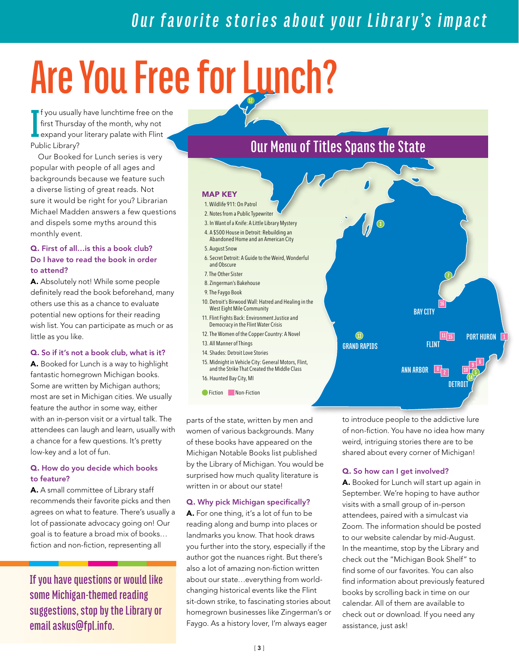# *Our favorite stories about your Library's impact*

# **Are You Free for Lunch? 12**

**I** f you usually have lunchtime free on the first Thursday of the month, why not **expand your literary palate with Flint** Public Library?

Our Booked for Lunch series is very popular with people of all ages and backgrounds because we feature such a diverse listing of great reads. Not sure it would be right for you? Librarian Michael Madden answers a few questions and dispels some myths around this monthly event.

#### Q. First of all…is this a book club? Do I have to read the book in order to attend?

A. Absolutely not! While some people definitely read the book beforehand, many others use this as a chance to evaluate potential new options for their reading wish list. You can participate as much or as little as you like.

#### Q. So if it's not a book club, what is it?

A. Booked for Lunch is a way to highlight fantastic homegrown Michigan books. Some are written by Michigan authors; most are set in Michigan cities. We usually feature the author in some way, either with an in-person visit or a virtual talk. The attendees can laugh and learn, usually with a chance for a few questions. It's pretty low-key and a lot of fun.

#### Q. How do you decide which books to feature?

A. A small committee of Library staff recommends their favorite picks and then agrees on what to feature. There's usually a lot of passionate advocacy going on! Our goal is to feature a broad mix of books… fiction and non-fiction, representing all

**If you have questions or would like some Michigan-themed reading suggestions, stop by the Library or email askus@fpl.info.**

## **Our Menu of Titles Spans the State**

#### MAP KEY

#### 1. Wildlife 911: On Patrol

- 2. Notes from a Public Typewriter
- 3. In Want of a Knife: A Little Library Mystery
- 4. A \$500 House in Detroit: Rebuilding an
- Abandoned Home and an American City 5. August Snow
- 6. Secret Detroit: A Guide to the Weird, Wonderful
- and Obscure
- 7. The Other Sister
- 8. Zingerman's Bakehouse
- 9. The Faygo Book
- 10. Detroit's Birwood Wall: Hatred and Healing in the West Eight Mile Community
- 11. Flint Fights Back: Environment Justice and Democracy in the Flint Water Crisis
- 12. The Women of the Copper Country: A Novel
- 13. All Manner of Things
- 14. Shades: Detroit Love Stories
- 15. Midnight in Vehicle City: General Motors, Flint, and the Strike That Created the Middle Class 16. Haunted Bay City, MI
- **C**Fiction Non-Fiction

parts of the state, written by men and women of various backgrounds. Many of these books have appeared on the Michigan Notable Books list published by the Library of Michigan. You would be surprised how much quality literature is written in or about our state!

#### Q. Why pick Michigan specifically?

A. For one thing, it's a lot of fun to be reading along and bump into places or landmarks you know. That hook draws you further into the story, especially if the author got the nuances right. But there's also a lot of amazing non-fiction written about our state…everything from worldchanging historical events like the Flint sit-down strike, to fascinating stories about homegrown businesses like Zingerman's or Faygo. As a history lover, I'm always eager

to introduce people to the addictive lure of non-fiction. You have no idea how many weird, intriguing stories there are to be shared about every corner of Michigan!

**8 ANN ARBOR**

**BAY CITY**

**11 15 1 PORT HURON**

**6**

**1O**

**DETROIT**

**16**

#### Q. So how can I get involved?

**GRAND RAPIDS FLINT**

 $\circled{1}$ 

A. Booked for Lunch will start up again in September. We're hoping to have author visits with a small group of in-person attendees, paired with a simulcast via Zoom. The information should be posted to our website calendar by mid-August. In the meantime, stop by the Library and check out the "Michigan Book Shelf" to find some of our favorites. You can also find information about previously featured books by scrolling back in time on our calendar. All of them are available to check out or download. If you need any assistance, just ask!